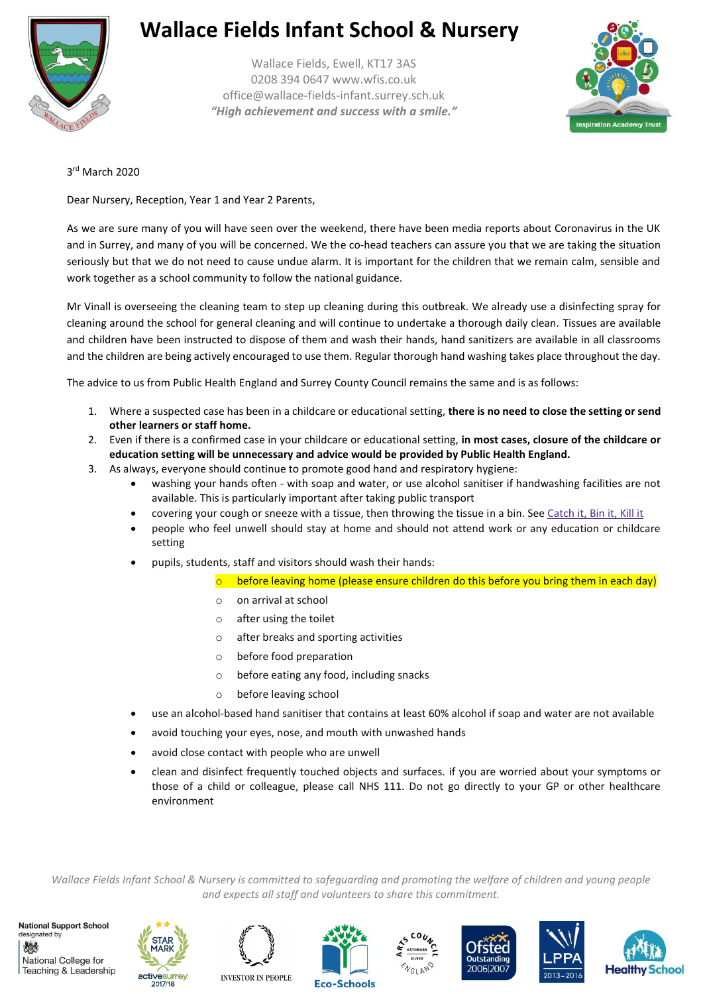

## **Wallace Fields Infant School & Nursery**

Wallace Fields, Ewell, KT17 3AS 0208 394 0647 www.wfis.co.uk office@wallace-fields-infant.surrey.sch.uk *"High achievement and success with a smile."*



3 rd March 2020

Dear Nursery, Reception, Year 1 and Year 2 Parents,

As we are sure many of you will have seen over the weekend, there have been media reports about Coronavirus in the UK and in Surrey, and many of you will be concerned. We the co-head teachers can assure you that we are taking the situation seriously but that we do not need to cause undue alarm. It is important for the children that we remain calm, sensible and work together as a school community to follow the national guidance.

Mr Vinall is overseeing the cleaning team to step up cleaning during this outbreak. We already use a disinfecting spray for cleaning around the school for general cleaning and will continue to undertake a thorough daily clean. Tissues are available and children have been instructed to dispose of them and wash their hands, hand sanitizers are available in all classrooms and the children are being actively encouraged to use them. Regular thorough hand washing takes place throughout the day.

The advice to us from Public Health England and Surrey County Council remains the same and is as follows:

- 1. Where a suspected case has been in a childcare or educational setting, **there is no need to close the setting or send other learners or staff home.**
- 2. Even if there is a confirmed case in your childcare or educational setting, **in most cases, closure of the childcare or education setting will be unnecessary and advice would be provided by Public Health England.**
- 3. As always, everyone should continue to promote good hand and respiratory hygiene:
	- washing your hands often with soap and water, or use alcohol sanitiser if handwashing facilities are not available. This is particularly important after taking public transport
	- covering your cough or sneeze with a tissue, then throwing the tissue in a bin. See [Catch](https://campaignresources.phe.gov.uk/resources/campaigns/101/resources/5016) it, Bin it, Kill it
	- people who feel unwell should stay at home and should not attend work or any education or childcare setting
	- pupils, students, staff and visitors should wash their hands:
		- $\circ$  before leaving home (please ensure children do this before you bring them in each day)
		- o on arrival at school
		- o after using the toilet
		- o after breaks and sporting activities
		- o before food preparation
		- o before eating any food, including snacks
		- o before leaving school
	- use an alcohol-based hand sanitiser that contains at least 60% alcohol if soap and water are not available
	- avoid touching your eyes, nose, and mouth with unwashed hands
	- avoid close contact with people who are unwell
	- clean and disinfect frequently touched objects and surfaces. if you are worried about your symptoms or those of a child or colleague, please call NHS 111. Do not go directly to your GP or other healthcare environment

*Wallace Fields Infant School & Nursery is committed to safeguarding and promoting the welfare of children and young people and expects all staff and volunteers to share this commitment.*





2017/18